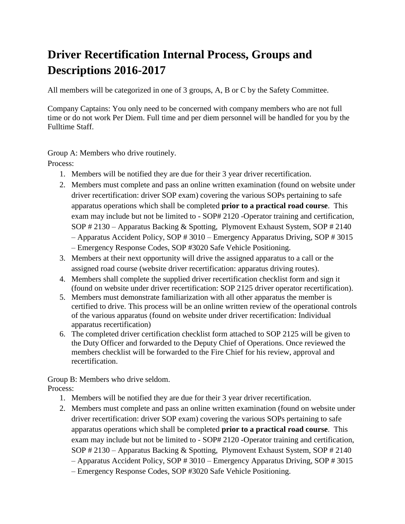## **Driver Recertification Internal Process, Groups and Descriptions 2016-2017**

All members will be categorized in one of 3 groups, A, B or C by the Safety Committee.

Company Captains: You only need to be concerned with company members who are not full time or do not work Per Diem. Full time and per diem personnel will be handled for you by the Fulltime Staff.

Group A: Members who drive routinely.

Process:

- 1. Members will be notified they are due for their 3 year driver recertification.
- 2. Members must complete and pass an online written examination (found on website under driver recertification: driver SOP exam) covering the various SOPs pertaining to safe apparatus operations which shall be completed **prior to a practical road course**. This exam may include but not be limited to - SOP# 2120 -Operator training and certification, SOP # 2130 – Apparatus Backing & Spotting, Plymovent Exhaust System, SOP # 2140 – Apparatus Accident Policy, SOP # 3010 – Emergency Apparatus Driving, SOP # 3015 – Emergency Response Codes, SOP #3020 Safe Vehicle Positioning.
- 3. Members at their next opportunity will drive the assigned apparatus to a call or the
- assigned road course (website driver recertification: apparatus driving routes). 4. Members shall complete the supplied driver recertification checklist form and sign it (found on website under driver recertification: SOP 2125 driver operator recertification).
- 5. Members must demonstrate familiarization with all other apparatus the member is certified to drive. This process will be an online written review of the operational controls of the various apparatus (found on website under driver recertification: Individual apparatus recertification)
- 6. The completed driver certification checklist form attached to SOP 2125 will be given to the Duty Officer and forwarded to the Deputy Chief of Operations. Once reviewed the members checklist will be forwarded to the Fire Chief for his review, approval and recertification.

Group B: Members who drive seldom. Process:

- 1. Members will be notified they are due for their 3 year driver recertification.
- 2. Members must complete and pass an online written examination (found on website under driver recertification: driver SOP exam) covering the various SOPs pertaining to safe apparatus operations which shall be completed **prior to a practical road course**. This exam may include but not be limited to - SOP# 2120 -Operator training and certification, SOP # 2130 – Apparatus Backing & Spotting, Plymovent Exhaust System, SOP # 2140
	- Apparatus Accident Policy, SOP # 3010 Emergency Apparatus Driving, SOP # 3015
	- Emergency Response Codes, SOP #3020 Safe Vehicle Positioning.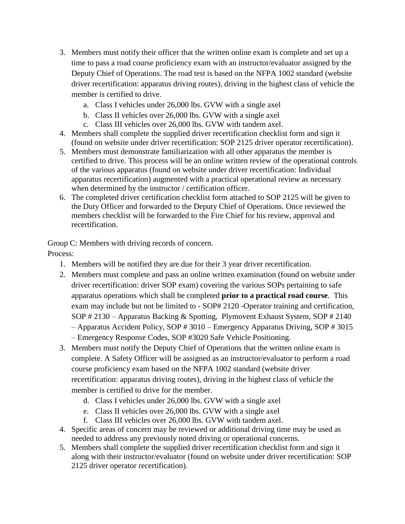- 3. Members must notify their officer that the written online exam is complete and set up a time to pass a road course proficiency exam with an instructor/evaluator assigned by the Deputy Chief of Operations. The road test is based on the NFPA 1002 standard (website driver recertification: apparatus driving routes), driving in the highest class of vehicle the member is certified to drive.
	- a. Class I vehicles under 26,000 lbs. GVW with a single axel
	- b. Class II vehicles over 26,000 lbs. GVW with a single axel
	- c. Class III vehicles over 26,000 lbs. GVW with tandem axel.
- 4. Members shall complete the supplied driver recertification checklist form and sign it (found on website under driver recertification: SOP 2125 driver operator recertification).
- 5. Members must demonstrate familiarization with all other apparatus the member is certified to drive. This process will be an online written review of the operational controls of the various apparatus (found on website under driver recertification: Individual apparatus recertification) augmented with a practical operational review as necessary when determined by the instructor / certification officer.
- 6. The completed driver certification checklist form attached to SOP 2125 will be given to the Duty Officer and forwarded to the Deputy Chief of Operations. Once reviewed the members checklist will be forwarded to the Fire Chief for his review, approval and recertification.

Group C: Members with driving records of concern.

Process:

- 1. Members will be notified they are due for their 3 year driver recertification.
- 2. Members must complete and pass an online written examination (found on website under driver recertification: driver SOP exam) covering the various SOPs pertaining to safe apparatus operations which shall be completed **prior to a practical road course**. This exam may include but not be limited to - SOP# 2120 -Operator training and certification, SOP # 2130 – Apparatus Backing & Spotting, Plymovent Exhaust System, SOP # 2140 – Apparatus Accident Policy, SOP # 3010 – Emergency Apparatus Driving, SOP # 3015
	- Emergency Response Codes, SOP #3020 Safe Vehicle Positioning.
- 3. Members must notify the Deputy Chief of Operations that the written online exam is complete. A Safety Officer will be assigned as an instructor/evaluator to perform a road course proficiency exam based on the NFPA 1002 standard (website driver recertification: apparatus driving routes), driving in the highest class of vehicle the member is certified to drive for the member.
	- d. Class I vehicles under 26,000 lbs. GVW with a single axel
	- e. Class II vehicles over 26,000 lbs. GVW with a single axel
	- f. Class III vehicles over 26,000 lbs. GVW with tandem axel.
- 4. Specific areas of concern may be reviewed or additional driving time may be used as needed to address any previously noted driving or operational concerns.
- 5. Members shall complete the supplied driver recertification checklist form and sign it along with their instructor/evaluator (found on website under driver recertification: SOP 2125 driver operator recertification).